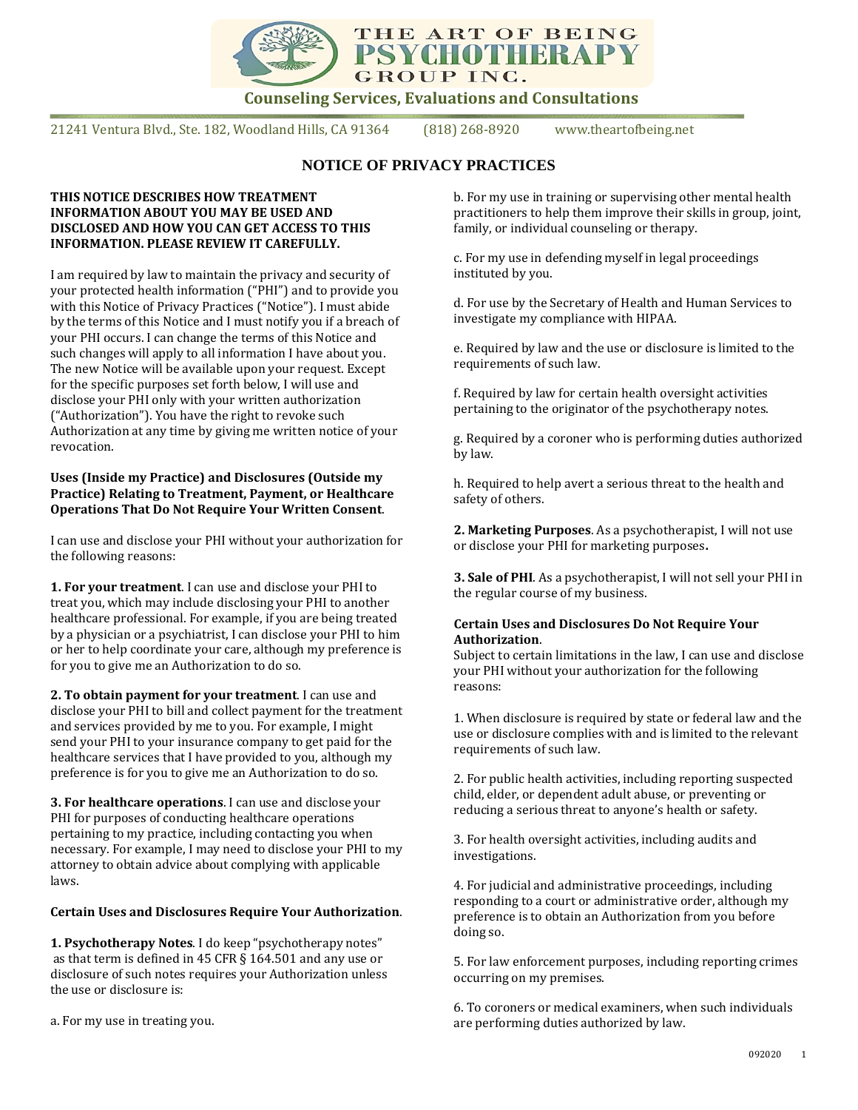

**Counseling Services, Evaluations and Consultations**

21241 Ventura Blvd., Ste. 182, Woodland Hills, CA 91364 (818) 268-8920 www.theartofbeing.net

# **NOTICE OF PRIVACY PRACTICES**

#### **THIS NOTICE DESCRIBES HOW TREATMENT INFORMATION ABOUT YOU MAY BE USED AND DISCLOSED AND HOW YOU CAN GET ACCESS TO THIS INFORMATION. PLEASE REVIEW IT CAREFULLY.**

I am required by law to maintain the privacy and security of your protected health information ("PHI") and to provide you with this Notice of Privacy Practices ("Notice"). I must abide by the terms of this Notice and I must notify you if a breach of your PHI occurs. I can change the terms of this Notice and such changes will apply to all information I have about you. The new Notice will be available upon your request. Except for the specific purposes set forth below, I will use and disclose your PHI only with your written authorization ("Authorization"). You have the right to revoke such Authorization at any time by giving me written notice of your revocation.

#### **Uses (Inside my Practice) and Disclosures (Outside my Practice) Relating to Treatment, Payment, or Healthcare Operations That Do Not Require Your Written Consent**.

I can use and disclose your PHI without your authorization for the following reasons:

**1. For your treatment**. I can use and disclose your PHI to treat you, which may include disclosing your PHI to another healthcare professional. For example, if you are being treated by a physician or a psychiatrist, I can disclose your PHI to him or her to help coordinate your care, although my preference is for you to give me an Authorization to do so.

**2. To obtain payment for your treatment**. I can use and disclose your PHI to bill and collect payment for the treatment and services provided by me to you. For example, I might send your PHI to your insurance company to get paid for the healthcare services that I have provided to you, although my preference is for you to give me an Authorization to do so.

**3. For healthcare operations**. I can use and disclose your PHI for purposes of conducting healthcare operations pertaining to my practice, including contacting you when necessary. For example, I may need to disclose your PHI to my attorney to obtain advice about complying with applicable laws.

### **Certain Uses and Disclosures Require Your Authorization**.

**1. Psychotherapy Notes**. I do keep "psychotherapy notes" as that term is defined in 45 CFR § 164.501 and any use or disclosure of such notes requires your Authorization unless the use or disclosure is:

a. For my use in treating you.

b. For my use in training or supervising other mental health practitioners to help them improve their skills in group, joint, family, or individual counseling or therapy.

c. For my use in defending myself in legal proceedings instituted by you.

d. For use by the Secretary of Health and Human Services to investigate my compliance with HIPAA.

e. Required by law and the use or disclosure is limited to the requirements of such law.

f. Required by law for certain health oversight activities pertaining to the originator of the psychotherapy notes.

g. Required by a coroner who is performing duties authorized by law.

h. Required to help avert a serious threat to the health and safety of others.

**2. Marketing Purposes**. As a psychotherapist, I will not use or disclose your PHI for marketing purposes**.** 

**3. Sale of PHI**. As a psychotherapist, I will not sell your PHI in the regular course of my business.

#### **Certain Uses and Disclosures Do Not Require Your Authorization**.

Subject to certain limitations in the law, I can use and disclose your PHI without your authorization for the following reasons:

1. When disclosure is required by state or federal law and the use or disclosure complies with and is limited to the relevant requirements of such law.

2. For public health activities, including reporting suspected child, elder, or dependent adult abuse, or preventing or reducing a serious threat to anyone's health or safety.

3. For health oversight activities, including audits and investigations.

4. For judicial and administrative proceedings, including responding to a court or administrative order, although my preference is to obtain an Authorization from you before doing so.

5. For law enforcement purposes, including reporting crimes occurring on my premises.

6. To coroners or medical examiners, when such individuals are performing duties authorized by law.